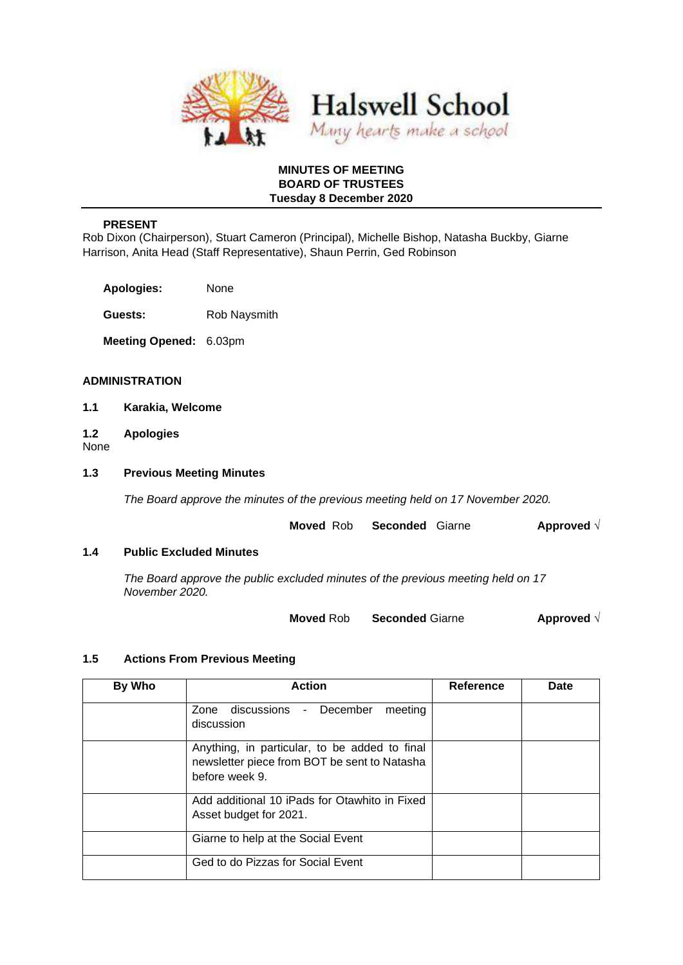

### **MINUTES OF MEETING BOARD OF TRUSTEES Tuesday 8 December 2020**

### **PRESENT**

Rob Dixon (Chairperson), Stuart Cameron (Principal), Michelle Bishop, Natasha Buckby, Giarne Harrison, Anita Head (Staff Representative), Shaun Perrin, Ged Robinson

**Apologies:** None

**Guests:** Rob Naysmith

**Meeting Opened:** 6.03pm

### **ADMINISTRATION**

- **1.1 Karakia, Welcome**
- **1.2 Apologies**

None

### **1.3 Previous Meeting Minutes**

*The Board approve the minutes of the previous meeting held on 17 November 2020.* 

| <b>Seconded Giarne</b><br><b>Moved</b> Rob |  | Approved $\sqrt{}$ |
|--------------------------------------------|--|--------------------|
|--------------------------------------------|--|--------------------|

#### **1.4 Public Excluded Minutes**

*The Board approve the public excluded minutes of the previous meeting held on 17 November 2020.* 

**Moved** Rob **Seconded** Giarne **Approved** √

#### **1.5 Actions From Previous Meeting**

| By Who | <b>Action</b>                                                                                                   | <b>Reference</b> | Date |
|--------|-----------------------------------------------------------------------------------------------------------------|------------------|------|
|        | discussions - December<br>meeting<br>Zone<br>discussion                                                         |                  |      |
|        | Anything, in particular, to be added to final<br>newsletter piece from BOT be sent to Natasha<br>before week 9. |                  |      |
|        | Add additional 10 iPads for Otawhito in Fixed<br>Asset budget for 2021.                                         |                  |      |
|        | Giarne to help at the Social Event                                                                              |                  |      |
|        | Ged to do Pizzas for Social Event                                                                               |                  |      |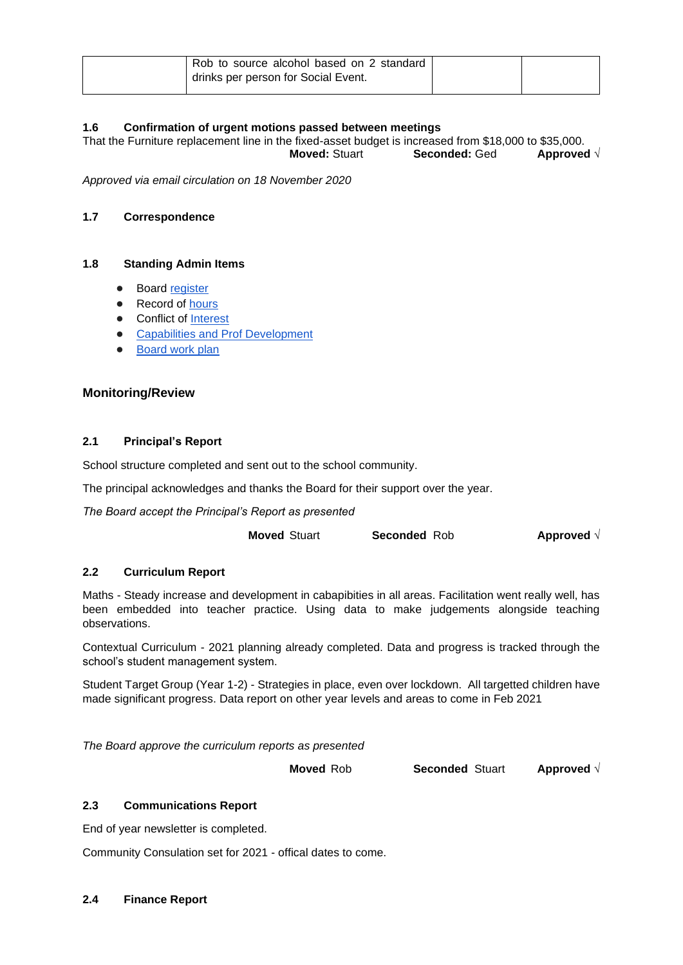| Rob to source alcohol based on 2 standard |  |
|-------------------------------------------|--|
| drinks per person for Social Event.       |  |

# **1.6 Confirmation of urgent motions passed between meetings**

That the Furniture replacement line in the fixed-asset budget is increased from \$18,000 to \$35,000. **Moved:** Stuart **Seconded:** Ged **Approved** √

*Approved via email circulation on 18 November 2020*

### **1.7 Correspondence**

### **1.8 Standing Admin Items**

- Boar[d](https://drive.google.com/open?id=1LgYeP3fbHNJrrdwtKhmni7bUn5KZf6AdawXvp-8GM5I) [register](https://drive.google.com/open?id=1LgYeP3fbHNJrrdwtKhmni7bUn5KZf6AdawXvp-8GM5I)
- Record o[f](https://docs.google.com/spreadsheets/d/1ooqHmfuVcjAxJj74l2cyNrLx6E1GWjN2CMAD-VWrSTk/edit#gid=1585903216) hours
- **Con[f](https://drive.google.com/open?id=1LpqgUK6iwhrXOSzvrxmLTcgpA-wsuZg7DU-aIw9nGAw)lict of [Interest](https://drive.google.com/open?id=1LpqgUK6iwhrXOSzvrxmLTcgpA-wsuZg7DU-aIw9nGAw)**
- **[Capabilities and Prof Development](https://drive.google.com/open?id=1Vq0YrIsDwmndZRHvvGvFtK1YOlEWlifxCfIAxHaVDlo)**
- **[Board work plan](https://docs.google.com/document/d/16WAgjXfZuFQ9Un3Lb7bJ9NQj9tU1J26Koes3jzuU9jQ/edit)**

### **Monitoring/Review**

### **2.1 Principal's Report**

School structure completed and sent out to the school community.

The principal acknowledges and thanks the Board for their support over the year.

*The Board accept the Principal's Report as presented* 

**Moved** Stuart **Seconded** Rob **Approved** √

# **2.2 Curriculum Report**

Maths - Steady increase and development in cabapibities in all areas. Facilitation went really well, has been embedded into teacher practice. Using data to make judgements alongside teaching observations.

Contextual Curriculum - 2021 planning already completed. Data and progress is tracked through the school's student management system.

Student Target Group (Year 1-2) - Strategies in place, even over lockdown. All targetted children have made significant progress. Data report on other year levels and areas to come in Feb 2021

*The Board approve the curriculum reports as presented* 

**Moved** Rob **Seconded** Stuart **Approved** √

### **2.3 Communications Report**

End of year newsletter is completed.

Community Consulation set for 2021 - offical dates to come.

### **2.4 Finance Report**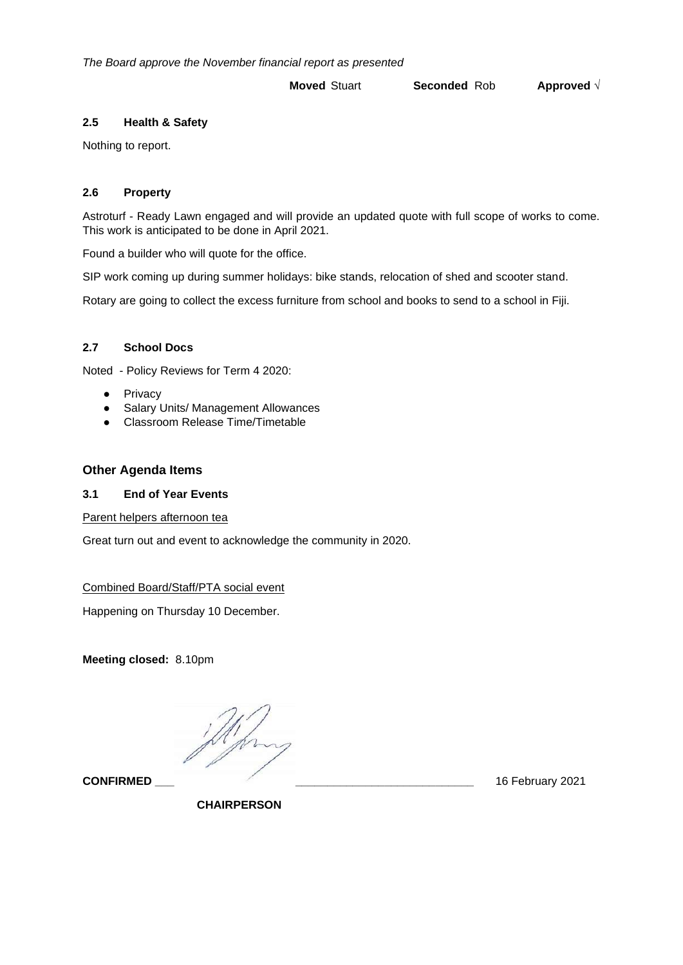*The Board approve the November financial report as presented* 

# **Moved** Stuart **Seconded** Rob **Approved** √

### **2.5 Health & Safety**

Nothing to report.

# **2.6 Property**

Astroturf - Ready Lawn engaged and will provide an updated quote with full scope of works to come. This work is anticipated to be done in April 2021.

Found a builder who will quote for the office.

SIP work coming up during summer holidays: bike stands, relocation of shed and scooter stand.

Rotary are going to collect the excess furniture from school and books to send to a school in Fiji.

### **2.7 School Docs**

Noted - Policy Reviews for Term 4 2020:

- Privacy
- Salary Units/ Management Allowances
- Classroom Release Time/Timetable

# **Other Agenda Items**

### **3.1 End of Year Events**

Parent helpers afternoon tea

Great turn out and event to acknowledge the community in 2020.

### Combined Board/Staff/PTA social event

Happening on Thursday 10 December.

**Meeting closed:** 8.10pm

**CONFIRMED \_\_\_ \_\_\_\_\_\_\_\_\_\_\_\_\_\_\_\_\_\_\_\_\_\_\_\_\_\_\_\_** 16 February 2021

 **CHAIRPERSON**